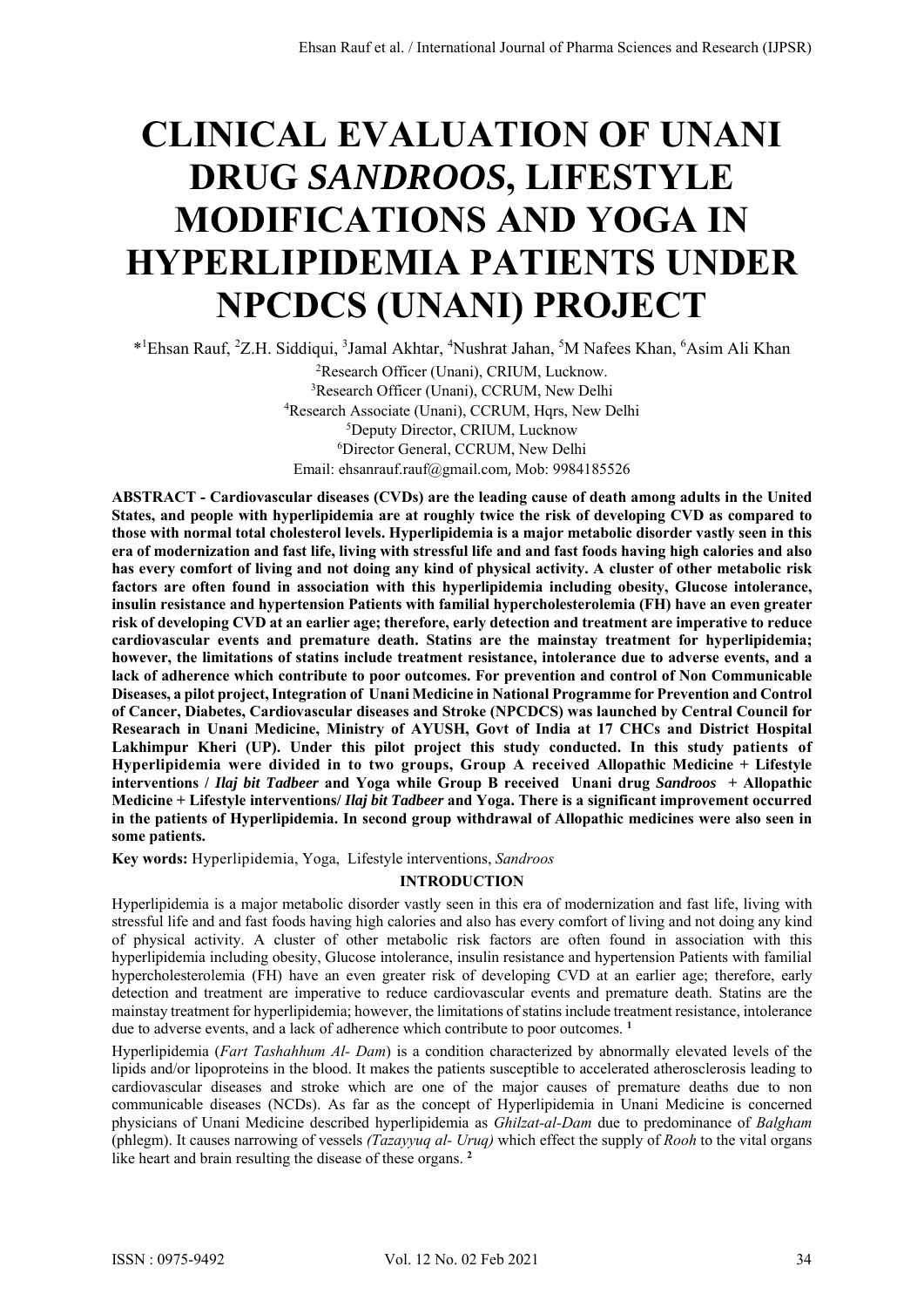# **CLINICAL EVALUATION OF UNANI DRUG** *SANDROOS***, LIFESTYLE MODIFICATIONS AND YOGA IN HYPERLIPIDEMIA PATIENTS UNDER NPCDCS (UNANI) PROJECT**

\*<sup>1</sup>Ehsan Rauf, <sup>2</sup>Z.H. Siddiqui, <sup>3</sup>Jamal Akhtar, <sup>4</sup>Nushrat Jahan, <sup>5</sup>M Nafees Khan, <sup>6</sup>Asim Ali Khan

2 Research Officer (Unani), CRIUM, Lucknow. <sup>3</sup>Research Officer (Unani), CCRUM, New Delhi<br><sup>4</sup>Research Associate (Unani), CCRUM, Hars, New D Research Associate (Unani), CCRUM, Hqrs, New Delhi 5 Deputy Director, CRIUM, Lucknow 6 Director General, CCRUM, New Delhi Email: ehsanrauf.rauf@gmail.com, Mob: 9984185526

**ABSTRACT - Cardiovascular diseases (CVDs) are the leading cause of death among adults in the United States, and people with hyperlipidemia are at roughly twice the risk of developing CVD as compared to those with normal total cholesterol levels. Hyperlipidemia is a major metabolic disorder vastly seen in this era of modernization and fast life, living with stressful life and and fast foods having high calories and also has every comfort of living and not doing any kind of physical activity. A cluster of other metabolic risk factors are often found in association with this hyperlipidemia including obesity, Glucose intolerance, insulin resistance and hypertension Patients with familial hypercholesterolemia (FH) have an even greater risk of developing CVD at an earlier age; therefore, early detection and treatment are imperative to reduce cardiovascular events and premature death. Statins are the mainstay treatment for hyperlipidemia; however, the limitations of statins include treatment resistance, intolerance due to adverse events, and a lack of adherence which contribute to poor outcomes. For prevention and control of Non Communicable Diseases, a pilot project, Integration of Unani Medicine in National Programme for Prevention and Control of Cancer, Diabetes, Cardiovascular diseases and Stroke (NPCDCS) was launched by Central Council for Researach in Unani Medicine, Ministry of AYUSH, Govt of India at 17 CHCs and District Hospital Lakhimpur Kheri (UP). Under this pilot project this study conducted. In this study patients of Hyperlipidemia were divided in to two groups, Group A received Allopathic Medicine + Lifestyle interventions /** *Ilaj bit Tadbeer* **and Yoga while Group B received Unani drug** *Sandroos* **+ Allopathic Medicine + Lifestyle interventions/** *Ilaj bit Tadbeer* **and Yoga. There is a significant improvement occurred in the patients of Hyperlipidemia. In second group withdrawal of Allopathic medicines were also seen in some patients.** 

**Key words:** Hyperlipidemia, Yoga, Lifestyle interventions, *Sandroos* 

## **INTRODUCTION**

Hyperlipidemia is a major metabolic disorder vastly seen in this era of modernization and fast life, living with stressful life and and fast foods having high calories and also has every comfort of living and not doing any kind of physical activity. A cluster of other metabolic risk factors are often found in association with this hyperlipidemia including obesity, Glucose intolerance, insulin resistance and hypertension Patients with familial hypercholesterolemia (FH) have an even greater risk of developing CVD at an earlier age; therefore, early detection and treatment are imperative to reduce cardiovascular events and premature death. Statins are the mainstay treatment for hyperlipidemia; however, the limitations of statins include treatment resistance, intolerance due to adverse events, and a lack of adherence which contribute to poor outcomes. **<sup>1</sup>**

Hyperlipidemia (*Fart Tashahhum Al- Dam*) is a condition characterized by abnormally elevated levels of the lipids and/or lipoproteins in the blood. It makes the patients susceptible to accelerated atherosclerosis leading to cardiovascular diseases and stroke which are one of the major causes of premature deaths due to non communicable diseases (NCDs). As far as the concept of Hyperlipidemia in Unani Medicine is concerned physicians of Unani Medicine described hyperlipidemia as *Ghilzat-al-Dam* due to predominance of *Balgham* (phlegm). It causes narrowing of vessels *(Tazayyuq al- Uruq)* which effect the supply of *Rooh* to the vital organs like heart and brain resulting the disease of these organs.<sup>2</sup>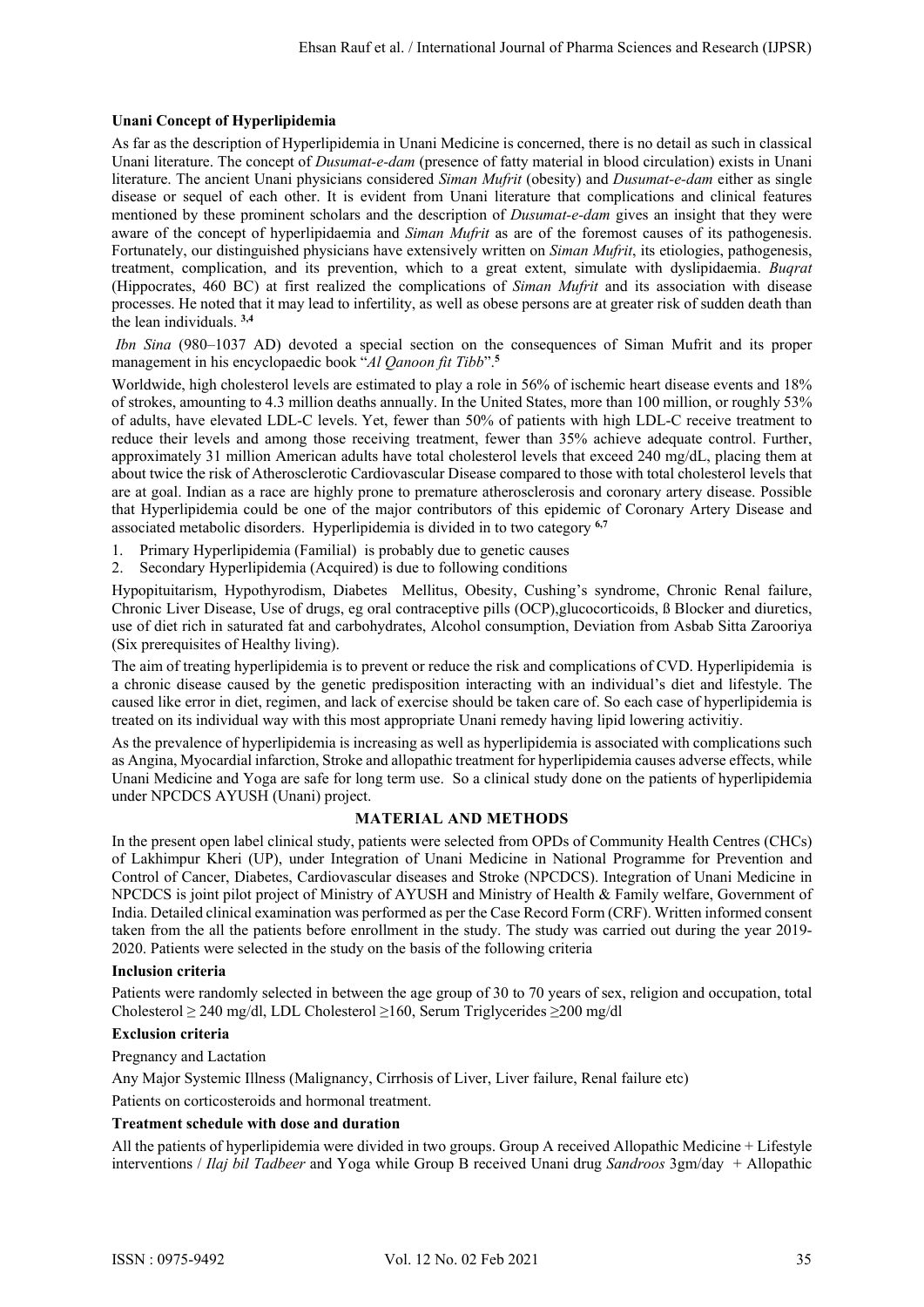# **Unani Concept of Hyperlipidemia**

As far as the description of Hyperlipidemia in Unani Medicine is concerned, there is no detail as such in classical Unani literature. The concept of *Dusumat-e-dam* (presence of fatty material in blood circulation) exists in Unani literature. The ancient Unani physicians considered *Siman Mufrit* (obesity) and *Dusumat-e-dam* either as single disease or sequel of each other. It is evident from Unani literature that complications and clinical features mentioned by these prominent scholars and the description of *Dusumat-e-dam* gives an insight that they were aware of the concept of hyperlipidaemia and *Siman Mufrit* as are of the foremost causes of its pathogenesis. Fortunately, our distinguished physicians have extensively written on *Siman Mufrit*, its etiologies, pathogenesis, treatment, complication, and its prevention, which to a great extent, simulate with dyslipidaemia. *Buqrat* (Hippocrates, 460 BC) at first realized the complications of *Siman Mufrit* and its association with disease processes. He noted that it may lead to infertility, as well as obese persons are at greater risk of sudden death than the lean individuals. **3,4**

 *Ibn Sina* (980–1037 AD) devoted a special section on the consequences of Siman Mufrit and its proper management in his encyclopaedic book "*Al Qanoon fit Tibb*".**<sup>5</sup>**

Worldwide, high cholesterol levels are estimated to play a role in 56% of ischemic heart disease events and 18% of strokes, amounting to 4.3 million deaths annually. In the United States, more than 100 million, or roughly 53% of adults, have elevated LDL-C levels. Yet, fewer than 50% of patients with high LDL-C receive treatment to reduce their levels and among those receiving treatment, fewer than 35% achieve adequate control. Further, approximately 31 million American adults have total cholesterol levels that exceed 240 mg/dL, placing them at about twice the risk of Atherosclerotic Cardiovascular Disease compared to those with total cholesterol levels that are at goal. Indian as a race are highly prone to premature atherosclerosis and coronary artery disease. Possible that Hyperlipidemia could be one of the major contributors of this epidemic of Coronary Artery Disease and associated metabolic disorders. Hyperlipidemia is divided in to two category **6,7**

- 1. Primary Hyperlipidemia (Familial) is probably due to genetic causes
- 2. Secondary Hyperlipidemia (Acquired) is due to following conditions

Hypopituitarism, Hypothyrodism, Diabetes Mellitus, Obesity, Cushing's syndrome, Chronic Renal failure, Chronic Liver Disease, Use of drugs, eg oral contraceptive pills (OCP),glucocorticoids, ß Blocker and diuretics, use of diet rich in saturated fat and carbohydrates, Alcohol consumption, Deviation from Asbab Sitta Zarooriya (Six prerequisites of Healthy living).

The aim of treating hyperlipidemia is to prevent or reduce the risk and complications of CVD. Hyperlipidemia is a chronic disease caused by the genetic predisposition interacting with an individual's diet and lifestyle. The caused like error in diet, regimen, and lack of exercise should be taken care of. So each case of hyperlipidemia is treated on its individual way with this most appropriate Unani remedy having lipid lowering activitiy.

As the prevalence of hyperlipidemia is increasing as well as hyperlipidemia is associated with complications such as Angina, Myocardial infarction, Stroke and allopathic treatment for hyperlipidemia causes adverse effects, while Unani Medicine and Yoga are safe for long term use. So a clinical study done on the patients of hyperlipidemia under NPCDCS AYUSH (Unani) project.

## **MATERIAL AND METHODS**

In the present open label clinical study, patients were selected from OPDs of Community Health Centres (CHCs) of Lakhimpur Kheri (UP), under Integration of Unani Medicine in National Programme for Prevention and Control of Cancer, Diabetes, Cardiovascular diseases and Stroke (NPCDCS). Integration of Unani Medicine in NPCDCS is joint pilot project of Ministry of AYUSH and Ministry of Health & Family welfare, Government of India. Detailed clinical examination was performed as per the Case Record Form (CRF). Written informed consent taken from the all the patients before enrollment in the study. The study was carried out during the year 2019- 2020. Patients were selected in the study on the basis of the following criteria

## **Inclusion criteria**

Patients were randomly selected in between the age group of 30 to 70 years of sex, religion and occupation, total Cholesterol ≥ 240 mg/dl, LDL Cholesterol ≥160, Serum Triglycerides ≥200 mg/dl

## **Exclusion criteria**

Pregnancy and Lactation

Any Major Systemic Illness (Malignancy, Cirrhosis of Liver, Liver failure, Renal failure etc)

Patients on corticosteroids and hormonal treatment.

## **Treatment schedule with dose and duration**

All the patients of hyperlipidemia were divided in two groups. Group A received Allopathic Medicine + Lifestyle interventions / *Ilaj bil Tadbeer* and Yoga while Group B received Unani drug *Sandroos* 3gm/day + Allopathic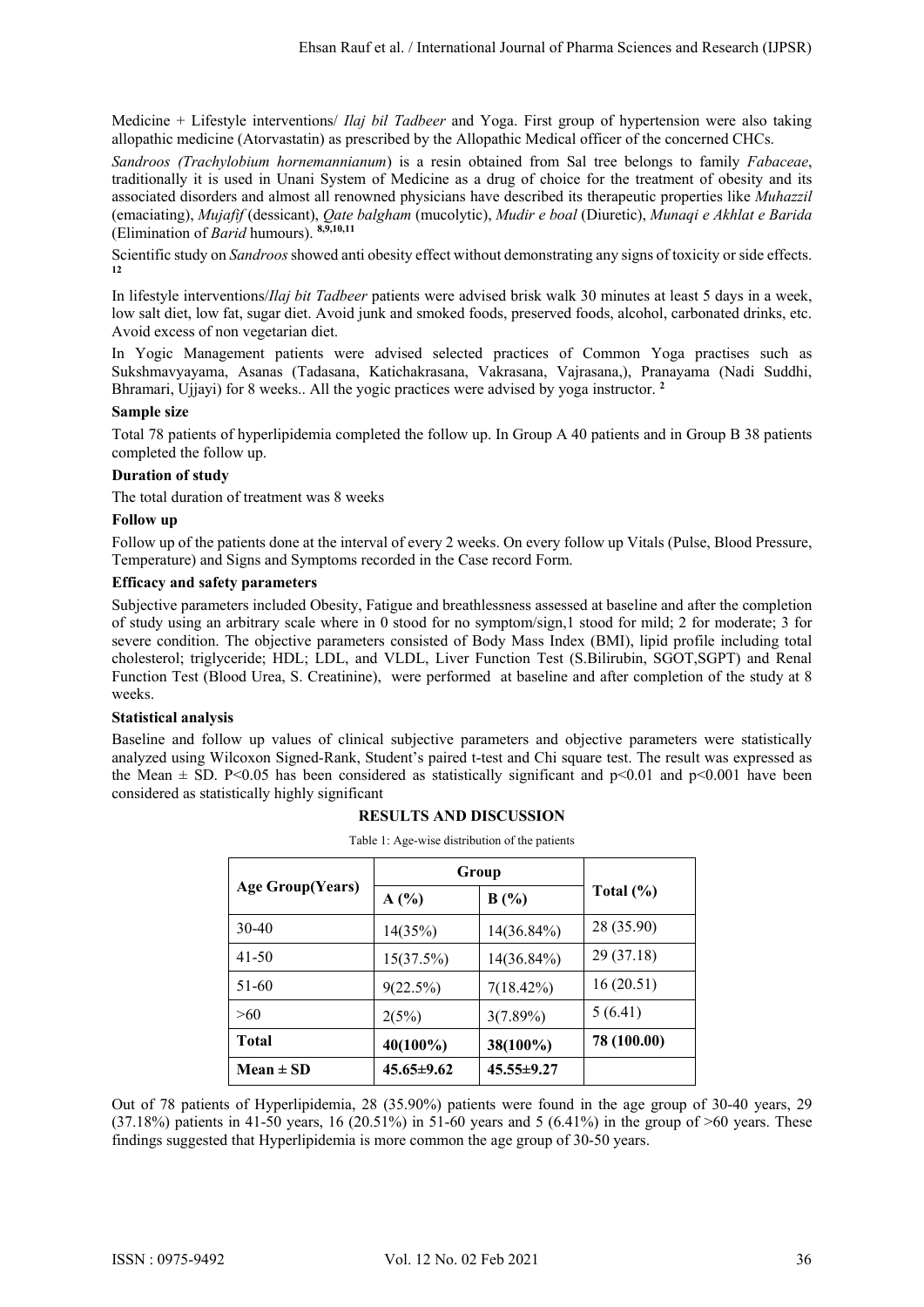Medicine + Lifestyle interventions/ *Ilaj bil Tadbeer* and Yoga. First group of hypertension were also taking allopathic medicine (Atorvastatin) as prescribed by the Allopathic Medical officer of the concerned CHCs.

*Sandroos (Trachylobium hornemannianum*) is a resin obtained from Sal tree belongs to family *Fabaceae*, traditionally it is used in Unani System of Medicine as a drug of choice for the treatment of obesity and its associated disorders and almost all renowned physicians have described its therapeutic properties like *Muhazzil*  (emaciating), *Mujafif* (dessicant), *Qate balgham* (mucolytic), *Mudir e boal* (Diuretic), *Munaqi e Akhlat e Barida*  (Elimination of *Barid* humours). **8,9,10,11**

Scientific study on *Sandroos* showed anti obesity effect without demonstrating any signs of toxicity or side effects. **12**

In lifestyle interventions/*Ilaj bit Tadbeer* patients were advised brisk walk 30 minutes at least 5 days in a week, low salt diet, low fat, sugar diet. Avoid junk and smoked foods, preserved foods, alcohol, carbonated drinks, etc. Avoid excess of non vegetarian diet.

In Yogic Management patients were advised selected practices of Common Yoga practises such as Sukshmavyayama, Asanas (Tadasana, Katichakrasana, Vakrasana, Vajrasana,), Pranayama (Nadi Suddhi, Bhramari, Ujjayi) for 8 weeks.. All the yogic practices were advised by yoga instructor. **<sup>2</sup>**

## **Sample size**

Total 78 patients of hyperlipidemia completed the follow up. In Group A 40 patients and in Group B 38 patients completed the follow up.

#### **Duration of study**

The total duration of treatment was 8 weeks

#### **Follow up**

Follow up of the patients done at the interval of every 2 weeks. On every follow up Vitals (Pulse, Blood Pressure, Temperature) and Signs and Symptoms recorded in the Case record Form.

#### **Efficacy and safety parameters**

Subjective parameters included Obesity, Fatigue and breathlessness assessed at baseline and after the completion of study using an arbitrary scale where in 0 stood for no symptom/sign,1 stood for mild; 2 for moderate; 3 for severe condition. The objective parameters consisted of Body Mass Index (BMI), lipid profile including total cholesterol; triglyceride; HDL; LDL, and VLDL, Liver Function Test (S.Bilirubin, SGOT,SGPT) and Renal Function Test (Blood Urea, S. Creatinine), were performed at baseline and after completion of the study at 8 weeks.

## **Statistical analysis**

Baseline and follow up values of clinical subjective parameters and objective parameters were statistically analyzed using Wilcoxon Signed-Rank, Student's paired t-test and Chi square test. The result was expressed as the Mean  $\pm$  SD. P<0.05 has been considered as statistically significant and p<0.01 and p<0.001 have been considered as statistically highly significant

|  | <b>RESULTS AND DISCUSSION</b> |
|--|-------------------------------|
|--|-------------------------------|

| <b>Age Group(Years)</b> | Group            |                  |               |
|-------------------------|------------------|------------------|---------------|
|                         | A(%)             | B(%)             | Total $(\% )$ |
| $30-40$                 | 14(35%)          | $14(36.84\%)$    | 28 (35.90)    |
| 41-50                   | 15(37.5%)        | 14(36.84%)       | 29 (37.18)    |
| 51-60                   | 9(22.5%)         | $7(18.42\%)$     | 16(20.51)     |
| >60                     | 2(5%)            | 3(7.89%)         | 5(6.41)       |
| <b>Total</b>            | $40(100\%)$      | 38(100%)         | 78 (100.00)   |
| Mean $\pm$ SD           | $45.65 \pm 9.62$ | $45.55 \pm 9.27$ |               |

Table 1: Age-wise distribution of the patients

Out of 78 patients of Hyperlipidemia, 28 (35.90%) patients were found in the age group of 30-40 years, 29  $(37.18\%)$  patients in 41-50 years, 16  $(20.51\%)$  in 51-60 years and 5  $(6.41\%)$  in the group of  $>60$  years. These findings suggested that Hyperlipidemia is more common the age group of 30-50 years.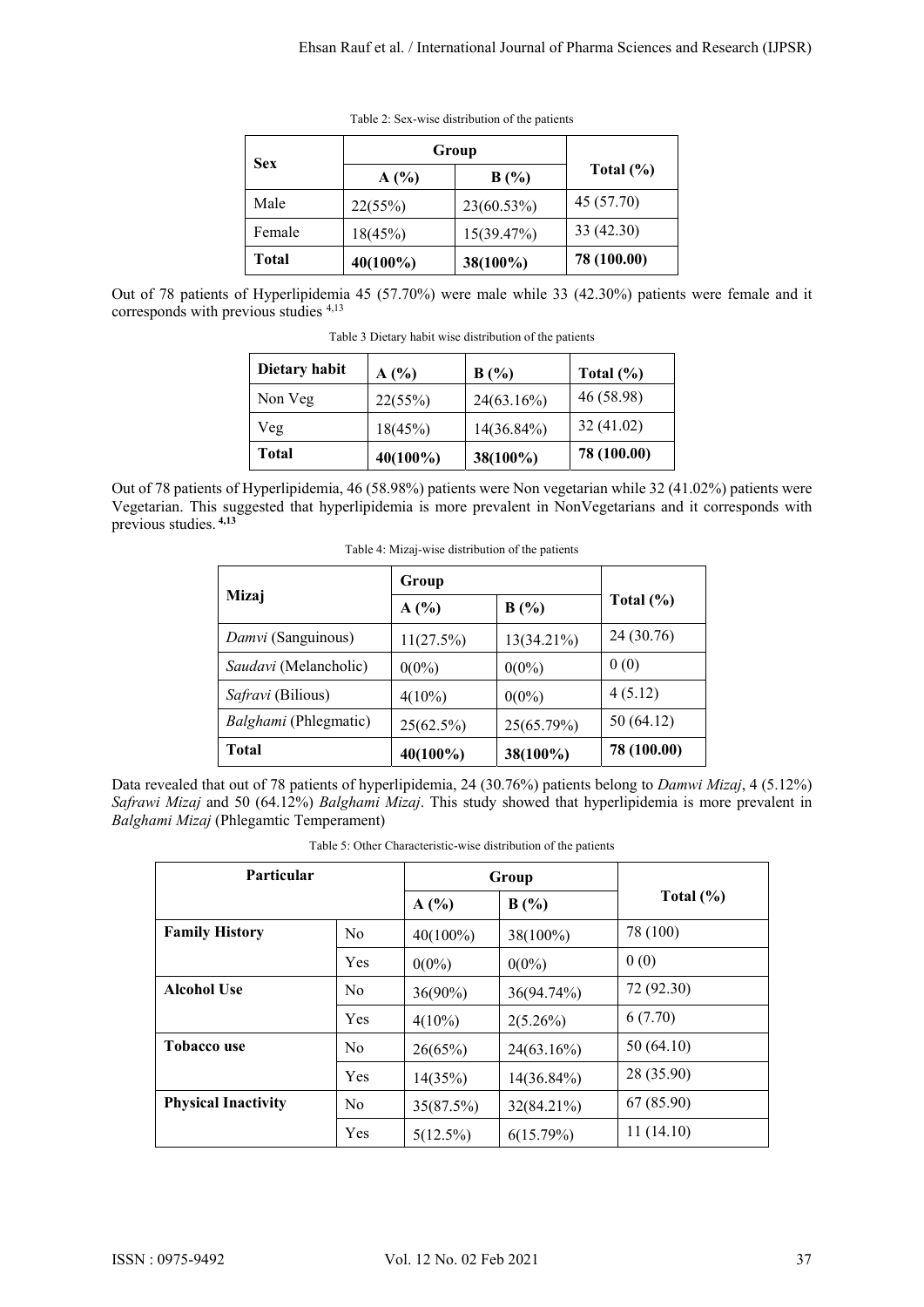|              | Group       |            |               |  |
|--------------|-------------|------------|---------------|--|
| <b>Sex</b>   | A(%)        | B(%)       | Total $(\% )$ |  |
| Male         | 22(55%)     | 23(60.53%) | 45 (57.70)    |  |
| Female       | 18(45%)     | 15(39.47%) | 33 (42.30)    |  |
| <b>Total</b> | $40(100\%)$ | 38(100%)   | 78 (100.00)   |  |

Table 2: Sex-wise distribution of the patients

Out of 78 patients of Hyperlipidemia 45 (57.70%) were male while 33 (42.30%) patients were female and it corresponds with previous studies 4,13

| Dietary habit | A(%)        | B(%)          | Total $(\% )$ |
|---------------|-------------|---------------|---------------|
| Non Veg       | 22(55%)     | $24(63.16\%)$ | 46 (58.98)    |
| Veg           | 18(45%)     | 14(36.84%)    | 32(41.02)     |
| Total         | $40(100\%)$ | 38(100%)      | 78 (100.00)   |

Table 3 Dietary habit wise distribution of the patients

Out of 78 patients of Hyperlipidemia, 46 (58.98%) patients were Non vegetarian while 32 (41.02%) patients were Vegetarian. This suggested that hyperlipidemia is more prevalent in NonVegetarians and it corresponds with previous studies. **4,13**

Table 4: Mizaj-wise distribution of the patients

|                       | Group     |            |               |
|-----------------------|-----------|------------|---------------|
| Mizaj                 | A(%)      | B(%)       | Total $(\% )$ |
| Damvi (Sanguinous)    | 11(27.5%) | 13(34.21%) | 24 (30.76)    |
| Saudavi (Melancholic) | $0(0\%)$  | $0(0\%)$   | 0(0)          |
| Safravi (Bilious)     | $4(10\%)$ | $0(0\%)$   | 4(5.12)       |
| Balghami (Phlegmatic) | 25(62.5%) | 25(65.79%) | 50(64.12)     |
| <b>Total</b>          | 40(100%)  | 38(100%)   | 78 (100.00)   |

Data revealed that out of 78 patients of hyperlipidemia, 24 (30.76%) patients belong to *Damwi Mizaj*, 4 (5.12%) *Safrawi Mizaj* and 50 (64.12%) *Balghami Mizaj*. This study showed that hyperlipidemia is more prevalent in *Balghami Mizaj* (Phlegamtic Temperament)

Table 5: Other Characteristic-wise distribution of the patients

| <b>Particular</b>          |                |             | Group       |               |  |
|----------------------------|----------------|-------------|-------------|---------------|--|
|                            |                | A(%)        | B(%)        | Total $(\% )$ |  |
| <b>Family History</b>      | N <sub>0</sub> | $40(100\%)$ | $38(100\%)$ | 78 (100)      |  |
|                            | Yes            | $0(0\%)$    | $0(0\%)$    | 0(0)          |  |
| <b>Alcohol Use</b>         | N <sub>0</sub> | $36(90\%)$  | 36(94.74%)  | 72 (92.30)    |  |
|                            | Yes            | $4(10\%)$   | $2(5.26\%)$ | 6(7.70)       |  |
| <b>Tobacco use</b>         | N <sub>0</sub> | 26(65%)     | 24(63.16%)  | 50(64.10)     |  |
|                            | Yes            | 14(35%)     | 14(36.84%)  | 28 (35.90)    |  |
| <b>Physical Inactivity</b> | N <sub>0</sub> | 35(87.5%)   | 32(84.21%)  | 67 (85.90)    |  |
|                            | Yes            | $5(12.5\%)$ | 6(15.79%)   | 11(14.10)     |  |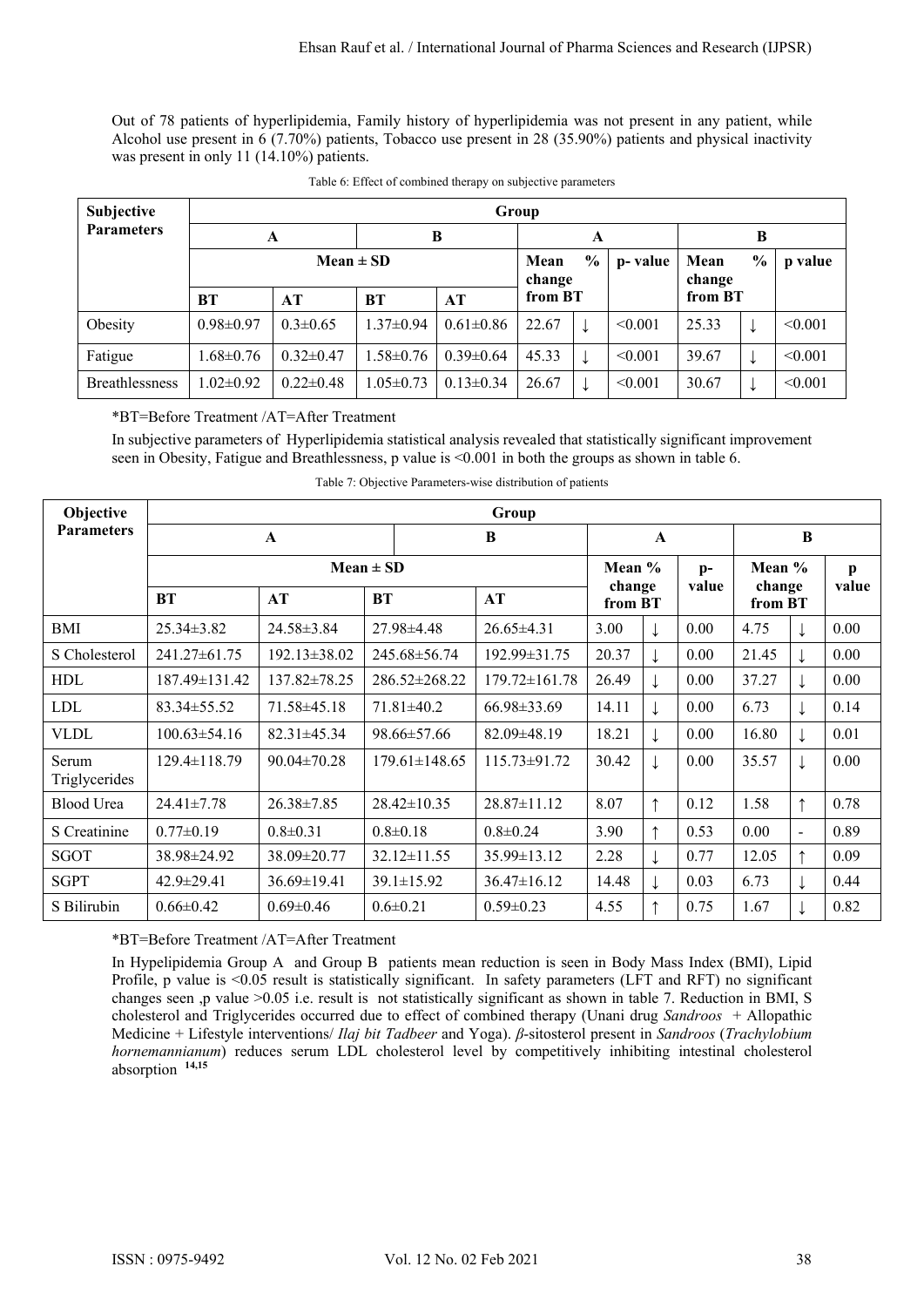Out of 78 patients of hyperlipidemia, Family history of hyperlipidemia was not present in any patient, while Alcohol use present in 6 (7.70%) patients, Tobacco use present in 28 (35.90%) patients and physical inactivity was present in only 11 (14.10%) patients.

| Subjective            | Group                                                       |                 |                 |                 |         |  |         |                |               |         |
|-----------------------|-------------------------------------------------------------|-----------------|-----------------|-----------------|---------|--|---------|----------------|---------------|---------|
| <b>Parameters</b>     | A                                                           |                 | B               |                 | A       |  |         | В              |               |         |
|                       | $\frac{0}{0}$<br>$Mean \pm SD$<br>Mean<br>p-value<br>change |                 |                 |                 |         |  |         | Mean<br>change | $\frac{0}{0}$ | p value |
|                       | <b>BT</b>                                                   | AT              | <b>BT</b>       | AT              | from BT |  |         | from BT        |               |         |
| Obesity               | $0.98 \pm 0.97$                                             | $0.3 \pm 0.65$  | $1.37 \pm 0.94$ | $0.61 \pm 0.86$ | 22.67   |  | < 0.001 | 25.33          |               | < 0.001 |
| Fatigue               | $1.68 \pm 0.76$                                             | $0.32 \pm 0.47$ | $1.58 \pm 0.76$ | $0.39\pm0.64$   | 45.33   |  | < 0.001 | 39.67          |               | < 0.001 |
| <b>Breathlessness</b> | $1.02 \pm 0.92$                                             | $0.22 \pm 0.48$ | $1.05 \pm 0.73$ | $0.13 \pm 0.34$ | 26.67   |  | < 0.001 | 30.67          | ↓             | < 0.001 |

## \*BT=Before Treatment /AT=After Treatment

In subjective parameters of Hyperlipidemia statistical analysis revealed that statistically significant improvement seen in Obesity, Fatigue and Breathlessness, p value is <0.001 in both the groups as shown in table 6.

| Objective              | Group              |                    |                     |                    |              |                   |               |                             |   |       |
|------------------------|--------------------|--------------------|---------------------|--------------------|--------------|-------------------|---------------|-----------------------------|---|-------|
| <b>Parameters</b>      | $\mathbf A$        |                    |                     | B                  | $\mathbf{A}$ |                   |               | B                           |   |       |
|                        |                    |                    | $Mean \pm SD$       |                    | Mean %       |                   | $p-$<br>value | Mean %<br>change<br>from BT |   | p     |
|                        | <b>BT</b>          | AT                 | <b>BT</b>           | AT                 |              | change<br>from BT |               |                             |   | value |
| <b>BMI</b>             | $25.34 \pm 3.82$   | 24.58±3.84         | $27.98 \pm 4.48$    | $26.65\pm4.31$     | 3.00         |                   | 0.00          | 4.75                        |   | 0.00  |
| S Cholesterol          | 241.27±61.75       | $192.13 \pm 38.02$ | 245.68±56.74        | $192.99 \pm 31.75$ | 20.37        |                   | 0.00          | 21.45                       |   | 0.00  |
| <b>HDL</b>             | 187.49±131.42      | $137.82 \pm 78.25$ | 286.52±268.22       | 179.72±161.78      | 26.49        |                   | 0.00          | 37.27                       |   | 0.00  |
| <b>LDL</b>             | $83.34 \pm 55.52$  | 71.58±45.18        | $71.81 \pm 40.2$    | $66.98 \pm 33.69$  | 14.11        |                   | 0.00          | 6.73                        |   | 0.14  |
| <b>VLDL</b>            | $100.63 \pm 54.16$ | $82.31 \pm 45.34$  | $98.66 \pm 57.66$   | $82.09\pm48.19$    | 18.21        |                   | 0.00          | 16.80                       |   | 0.01  |
| Serum<br>Triglycerides | $129.4 \pm 118.79$ | $90.04 \pm 70.28$  | $179.61 \pm 148.65$ | $115.73 \pm 91.72$ | 30.42        |                   | 0.00          | 35.57                       |   | 0.00  |
| Blood Urea             | $24.41 \pm 7.78$   | $26.38 \pm 7.85$   | $28.42 \pm 10.35$   | $28.87 \pm 11.12$  | 8.07         | ↑                 | 0.12          | 1.58                        | ↑ | 0.78  |
| S Creatinine           | $0.77 \pm 0.19$    | $0.8 \pm 0.31$     | $0.8 \pm 0.18$      | $0.8 \pm 0.24$     | 3.90         | ᠰ                 | 0.53          | 0.00                        | ÷ | 0.89  |
| SGOT                   | 38.98±24.92        | 38.09±20.77        | $32.12 \pm 11.55$   | $35.99 \pm 13.12$  | 2.28         |                   | 0.77          | 12.05                       | ↑ | 0.09  |
| <b>SGPT</b>            | $42.9 \pm 29.41$   | $36.69 \pm 19.41$  | $39.1 \pm 15.92$    | $36.47 \pm 16.12$  | 14.48        |                   | 0.03          | 6.73                        |   | 0.44  |
| S Bilirubin            | $0.66 \pm 0.42$    | $0.69 \pm 0.46$    | $0.6 \pm 0.21$      | $0.59 \pm 0.23$    | 4.55         | ↑                 | 0.75          | 1.67                        |   | 0.82  |

Table 7: Objective Parameters-wise distribution of patients

\*BT=Before Treatment /AT=After Treatment

In Hypelipidemia Group A and Group B patients mean reduction is seen in Body Mass Index (BMI), Lipid Profile, p value is  $\leq 0.05$  result is statistically significant. In safety parameters (LFT and RFT) no significant changes seen ,p value >0.05 i.e. result is not statistically significant as shown in table 7. Reduction in BMI, S cholesterol and Triglycerides occurred due to effect of combined therapy (Unani drug *Sandroos* + Allopathic Medicine + Lifestyle interventions/ *Ilaj bit Tadbeer* and Yoga). *β*-sitosterol present in *Sandroos* (*Trachylobium hornemannianum*) reduces serum LDL cholesterol level by competitively inhibiting intestinal cholesterol absorption **14,15**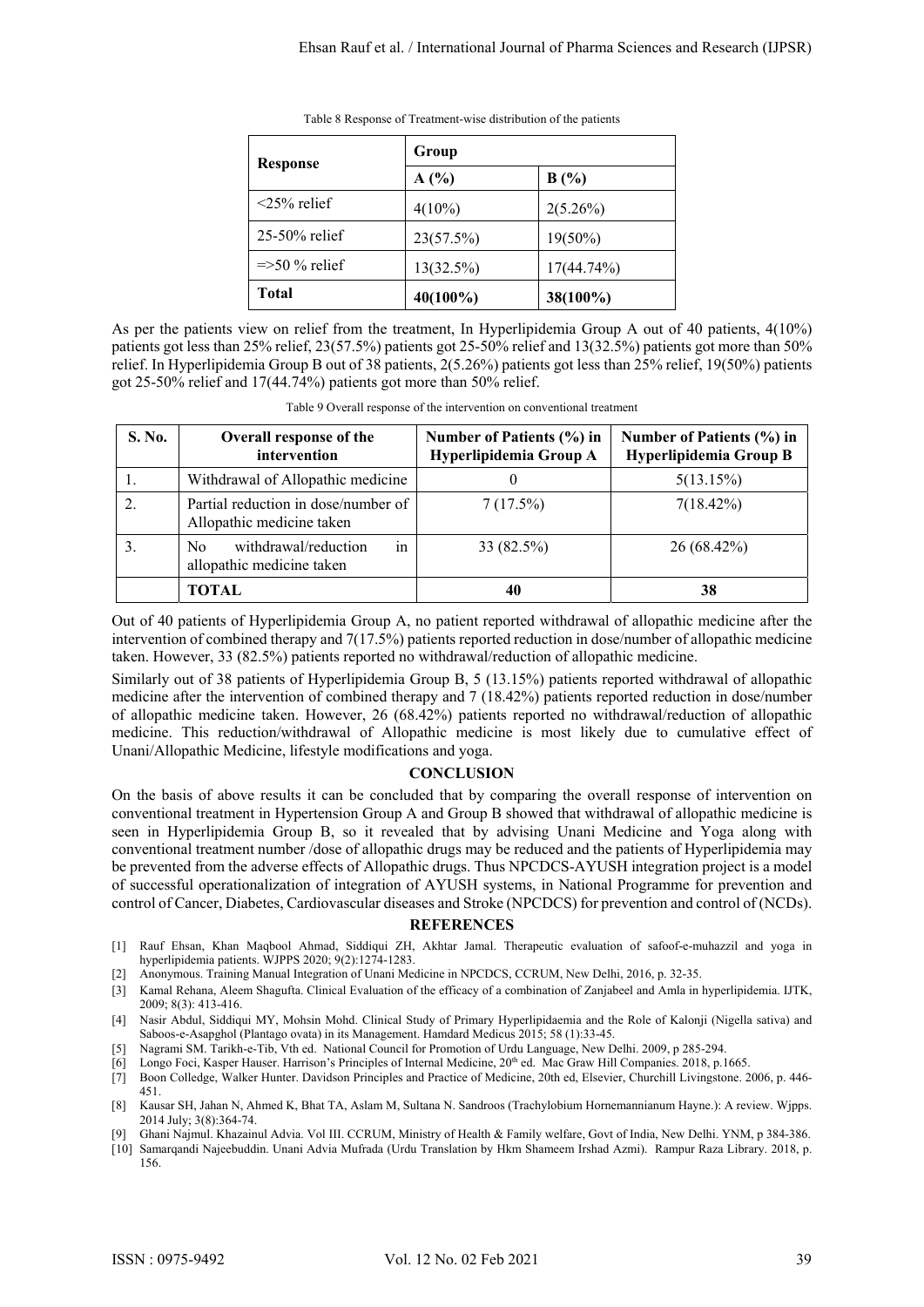|                       | Group     |               |  |  |  |  |
|-----------------------|-----------|---------------|--|--|--|--|
| <b>Response</b>       | A(%)      | B(%)          |  |  |  |  |
| $\leq$ 25% relief     | $4(10\%)$ | $2(5.26\%)$   |  |  |  |  |
| 25-50% relief         | 23(57.5%) | $19(50\%)$    |  |  |  |  |
| $\approx$ 50 % relief | 13(32.5%) | $17(44.74\%)$ |  |  |  |  |
| Total                 | 40(100%)  | 38(100%)      |  |  |  |  |

Table 8 Response of Treatment-wise distribution of the patients

As per the patients view on relief from the treatment, In Hyperlipidemia Group A out of 40 patients, 4(10%) patients got less than 25% relief, 23(57.5%) patients got 25-50% relief and 13(32.5%) patients got more than 50% relief. In Hyperlipidemia Group B out of 38 patients, 2(5.26%) patients got less than 25% relief, 19(50%) patients got 25-50% relief and 17(44.74%) patients got more than 50% relief.

| S. No. | <b>Overall response of the</b><br>intervention                   | Number of Patients (%) in<br>Hyperlipidemia Group A | Number of Patients (%) in<br>Hyperlipidemia Group B |
|--------|------------------------------------------------------------------|-----------------------------------------------------|-----------------------------------------------------|
|        | Withdrawal of Allopathic medicine                                |                                                     | 5(13.15%)                                           |
|        | Partial reduction in dose/number of<br>Allopathic medicine taken | 7(17.5%)                                            | $7(18.42\%)$                                        |
|        | withdrawal/reduction<br>No.<br>1n<br>allopathic medicine taken   | 33 (82.5%)                                          | 26 (68.42%)                                         |
|        | TOTAL                                                            | 40                                                  | 38                                                  |

Table 9 Overall response of the intervention on conventional treatment

Out of 40 patients of Hyperlipidemia Group A, no patient reported withdrawal of allopathic medicine after the intervention of combined therapy and 7(17.5%) patients reported reduction in dose/number of allopathic medicine taken. However, 33 (82.5%) patients reported no withdrawal/reduction of allopathic medicine.

Similarly out of 38 patients of Hyperlipidemia Group B, 5 (13.15%) patients reported withdrawal of allopathic medicine after the intervention of combined therapy and 7 (18.42%) patients reported reduction in dose/number of allopathic medicine taken. However, 26 (68.42%) patients reported no withdrawal/reduction of allopathic medicine. This reduction/withdrawal of Allopathic medicine is most likely due to cumulative effect of Unani/Allopathic Medicine, lifestyle modifications and yoga.

## **CONCLUSION**

On the basis of above results it can be concluded that by comparing the overall response of intervention on conventional treatment in Hypertension Group A and Group B showed that withdrawal of allopathic medicine is seen in Hyperlipidemia Group B, so it revealed that by advising Unani Medicine and Yoga along with conventional treatment number /dose of allopathic drugs may be reduced and the patients of Hyperlipidemia may be prevented from the adverse effects of Allopathic drugs. Thus NPCDCS-AYUSH integration project is a model of successful operationalization of integration of AYUSH systems, in National Programme for prevention and control of Cancer, Diabetes, Cardiovascular diseases and Stroke (NPCDCS) for prevention and control of (NCDs).

## **REFERENCES**

- [1] Rauf Ehsan, Khan Maqbool Ahmad, Siddiqui ZH, Akhtar Jamal. Therapeutic evaluation of safoof-e-muhazzil and yoga in hyperlipidemia patients. WJPPS 2020; 9(2):1274-1283.
- [2] Anonymous. Training Manual Integration of Unani Medicine in NPCDCS, CCRUM, New Delhi, 2016, p. 32-35.
- [3] Kamal Rehana, Aleem Shagufta. Clinical Evaluation of the efficacy of a combination of Zanjabeel and Amla in hyperlipidemia. IJTK, 2009; 8(3): 413-416.
- [4] Nasir Abdul, Siddiqui MY, Mohsin Mohd. Clinical Study of Primary Hyperlipidaemia and the Role of Kalonji (Nigella sativa) and Saboos-e-Asapghol (Plantago ovata) in its Management. Hamdard Medicus 2015; 58 (1):33-45.
- [5] Nagrami SM. Tarikh-e-Tib, Vth ed. National Council for Promotion of Urdu Language, New Delhi. 2009, p 285-294.
- [6] Longo Foci, Kasper Hauser. Harrison's Principles of Internal Medicine, 20th ed. Mac Graw Hill Companies. 2018, p.1665.
- [7] Boon Colledge, Walker Hunter. Davidson Principles and Practice of Medicine, 20th ed, Elsevier, Churchill Livingstone. 2006, p. 446- 451.
- [8] Kausar SH, Jahan N, Ahmed K, Bhat TA, Aslam M, Sultana N. Sandroos (Trachylobium Hornemannianum Hayne.): A review. Wjpps. 2014 July; 3(8):364-74.
- [9] Ghani Najmul. Khazainul Advia. Vol III. CCRUM, Ministry of Health & Family welfare, Govt of India, New Delhi. YNM, p 384-386. [10] Samarqandi Najeebuddin. Unani Advia Mufrada (Urdu Translation by Hkm Shameem Irshad Azmi). Rampur Raza Library. 2018, p. 156.